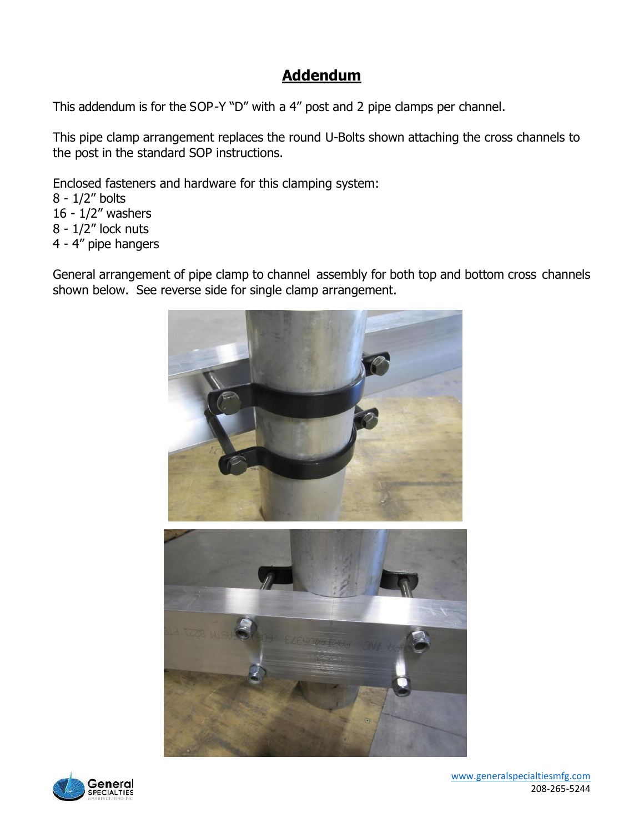## **Addendum**

This addendum is for the SOP-Y "D" with a 4" post and 2 pipe clamps per channel.

This pipe clamp arrangement replaces the round U-Bolts shown attaching the cross channels to the post in the standard SOP instructions.

Enclosed fasteners and hardware for this clamping system:

8 - 1/2" bolts

- 16 1/2" washers  $8 - 1/2$ " lock nuts
- 
- 4 4" pipe hangers

General arrangement of pipe clamp to channel assembly for both top and bottom cross channels shown below. See reverse side for single clamp arrangement.